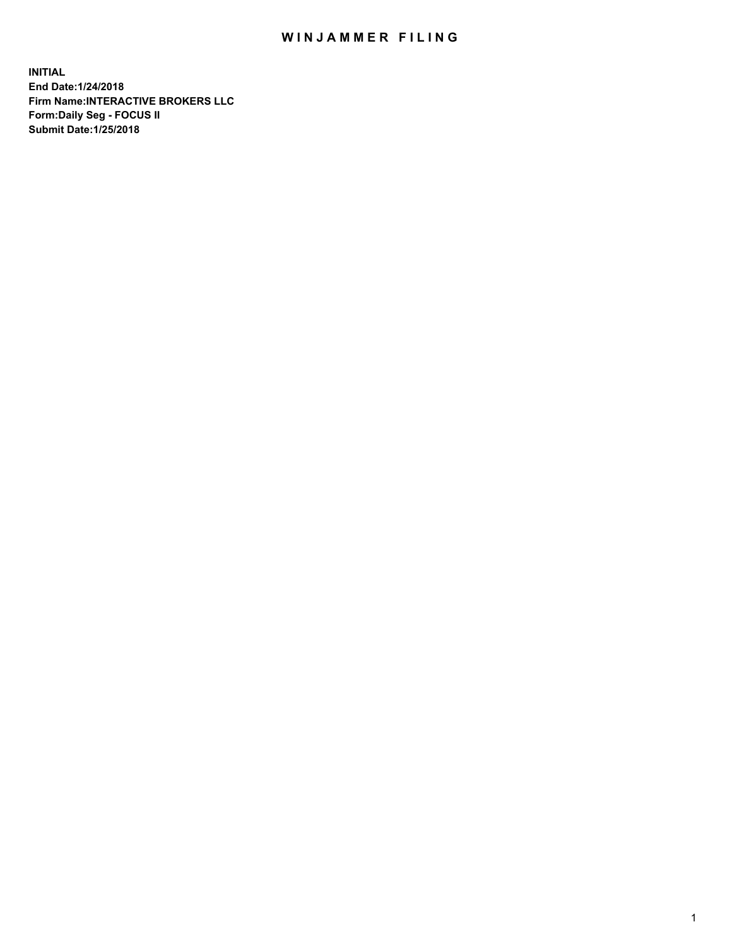## WIN JAMMER FILING

**INITIAL End Date:1/24/2018 Firm Name:INTERACTIVE BROKERS LLC Form:Daily Seg - FOCUS II Submit Date:1/25/2018**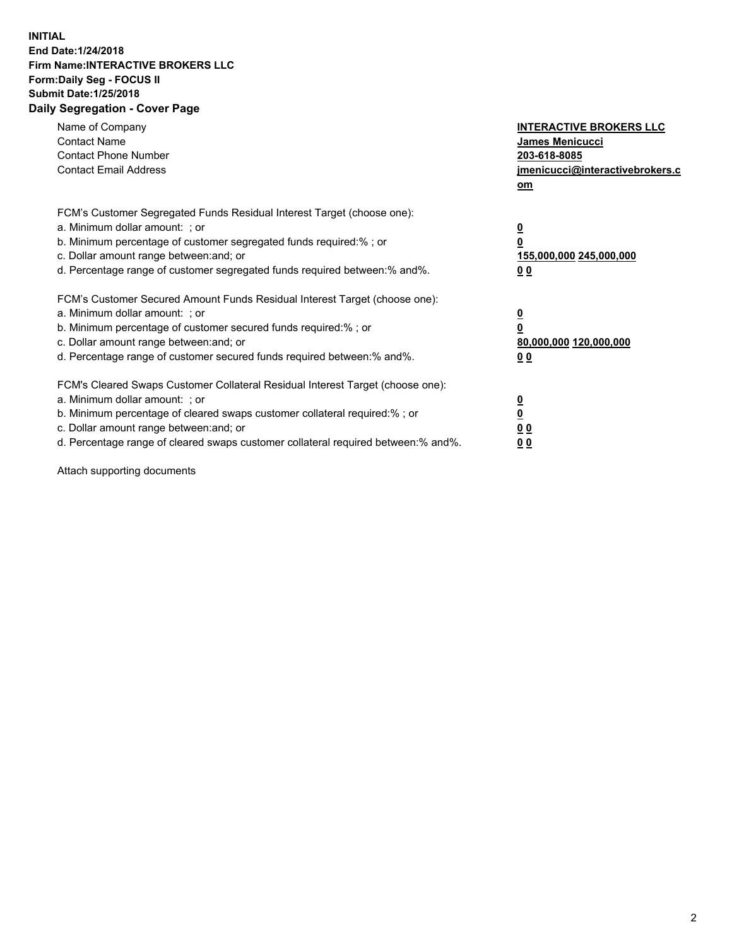## **INITIAL End Date:1/24/2018 Firm Name:INTERACTIVE BROKERS LLC Form:Daily Seg - FOCUS II Submit Date:1/25/2018 Daily Segregation - Cover Page**

| Name of Company<br><b>Contact Name</b><br><b>Contact Phone Number</b><br><b>Contact Email Address</b>                                                                                                                                                                                                                          | <b>INTERACTIVE BROKERS LLC</b><br>James Menicucci<br>203-618-8085<br>jmenicucci@interactivebrokers.c<br>om |
|--------------------------------------------------------------------------------------------------------------------------------------------------------------------------------------------------------------------------------------------------------------------------------------------------------------------------------|------------------------------------------------------------------------------------------------------------|
| FCM's Customer Segregated Funds Residual Interest Target (choose one):<br>a. Minimum dollar amount: ; or<br>b. Minimum percentage of customer segregated funds required:%; or<br>c. Dollar amount range between: and; or<br>d. Percentage range of customer segregated funds required between:% and%.                          | $\overline{\mathbf{0}}$<br>0<br>155,000,000 245,000,000<br>0 <sub>0</sub>                                  |
| FCM's Customer Secured Amount Funds Residual Interest Target (choose one):<br>a. Minimum dollar amount: ; or<br>b. Minimum percentage of customer secured funds required:%; or<br>c. Dollar amount range between: and; or<br>d. Percentage range of customer secured funds required between:% and%.                            | $\overline{\mathbf{0}}$<br>$\overline{\mathbf{0}}$<br>80,000,000 120,000,000<br>00                         |
| FCM's Cleared Swaps Customer Collateral Residual Interest Target (choose one):<br>a. Minimum dollar amount: ; or<br>b. Minimum percentage of cleared swaps customer collateral required:% ; or<br>c. Dollar amount range between: and; or<br>d. Percentage range of cleared swaps customer collateral required between:% and%. | $\overline{\mathbf{0}}$<br>$\overline{\mathbf{0}}$<br>0 <sub>0</sub><br><u>00</u>                          |

Attach supporting documents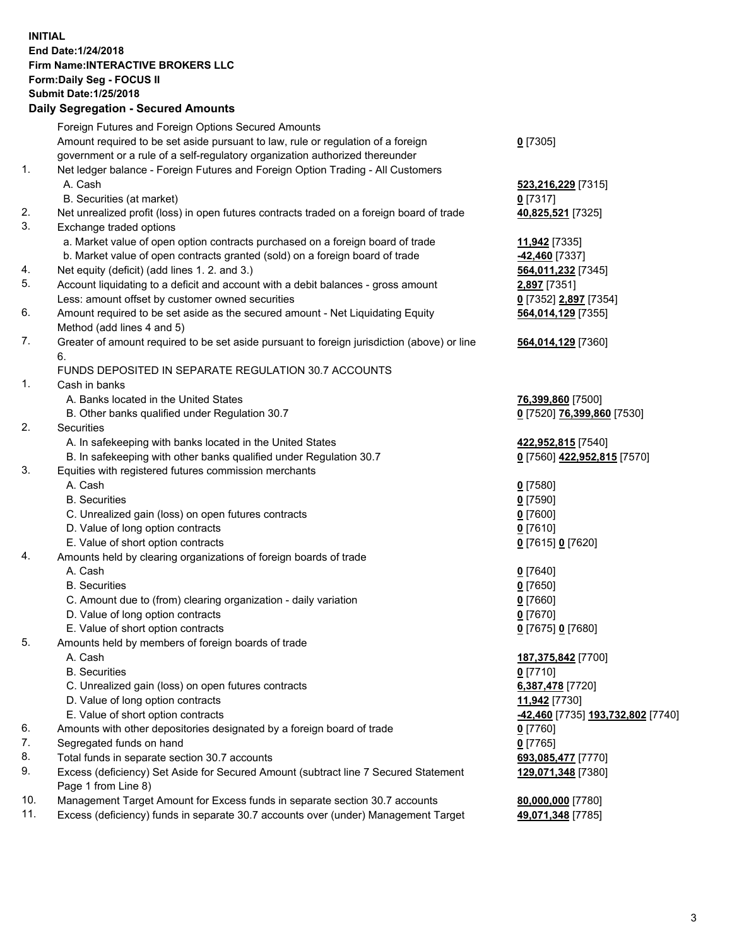## **INITIAL End Date:1/24/2018 Firm Name:INTERACTIVE BROKERS LLC Form:Daily Seg - FOCUS II Submit Date:1/25/2018 Daily Segregation - Secured Amounts**

|     | Daily Segregation - Secured Amounts                                                                        |                                   |
|-----|------------------------------------------------------------------------------------------------------------|-----------------------------------|
|     | Foreign Futures and Foreign Options Secured Amounts                                                        |                                   |
|     | Amount required to be set aside pursuant to law, rule or regulation of a foreign                           | $0$ [7305]                        |
|     | government or a rule of a self-regulatory organization authorized thereunder                               |                                   |
| 1.  | Net ledger balance - Foreign Futures and Foreign Option Trading - All Customers                            |                                   |
|     | A. Cash                                                                                                    | 523,216,229 [7315]                |
|     | B. Securities (at market)                                                                                  | $0$ [7317]                        |
| 2.  | Net unrealized profit (loss) in open futures contracts traded on a foreign board of trade                  | 40,825,521 [7325]                 |
| 3.  | Exchange traded options                                                                                    |                                   |
|     | a. Market value of open option contracts purchased on a foreign board of trade                             | 11,942 [7335]                     |
|     | b. Market value of open contracts granted (sold) on a foreign board of trade                               | -42,460 [7337]                    |
| 4.  | Net equity (deficit) (add lines 1.2. and 3.)                                                               | 564,011,232 [7345]                |
| 5.  | Account liquidating to a deficit and account with a debit balances - gross amount                          | 2,897 [7351]                      |
|     | Less: amount offset by customer owned securities                                                           | 0 [7352] 2,897 [7354]             |
| 6.  | Amount required to be set aside as the secured amount - Net Liquidating Equity                             | 564,014,129 [7355]                |
|     | Method (add lines 4 and 5)                                                                                 |                                   |
| 7.  | Greater of amount required to be set aside pursuant to foreign jurisdiction (above) or line                | 564,014,129 [7360]                |
|     | 6.                                                                                                         |                                   |
|     | FUNDS DEPOSITED IN SEPARATE REGULATION 30.7 ACCOUNTS                                                       |                                   |
| 1.  | Cash in banks                                                                                              |                                   |
|     | A. Banks located in the United States                                                                      | 76,399,860 [7500]                 |
|     | B. Other banks qualified under Regulation 30.7                                                             | 0 [7520] 76,399,860 [7530]        |
| 2.  | Securities                                                                                                 |                                   |
|     | A. In safekeeping with banks located in the United States                                                  | 422,952,815 [7540]                |
|     | B. In safekeeping with other banks qualified under Regulation 30.7                                         | 0 [7560] 422,952,815 [7570]       |
| 3.  | Equities with registered futures commission merchants                                                      |                                   |
|     | A. Cash                                                                                                    | $0$ [7580]                        |
|     | <b>B.</b> Securities                                                                                       | $0$ [7590]                        |
|     | C. Unrealized gain (loss) on open futures contracts                                                        | $0$ [7600]                        |
|     | D. Value of long option contracts                                                                          | $0$ [7610]                        |
|     | E. Value of short option contracts                                                                         | 0 [7615] 0 [7620]                 |
| 4.  | Amounts held by clearing organizations of foreign boards of trade                                          |                                   |
|     | A. Cash                                                                                                    | $0$ [7640]                        |
|     | <b>B.</b> Securities                                                                                       | $0$ [7650]                        |
|     | C. Amount due to (from) clearing organization - daily variation                                            | $0$ [7660]                        |
|     | D. Value of long option contracts                                                                          | $0$ [7670]                        |
|     | E. Value of short option contracts                                                                         | 0 [7675] 0 [7680]                 |
| 5.  | Amounts held by members of foreign boards of trade                                                         |                                   |
|     | A. Cash                                                                                                    | 187,375,842 [7700]                |
|     | <b>B.</b> Securities                                                                                       | $0$ [7710]                        |
|     | C. Unrealized gain (loss) on open futures contracts                                                        | 6,387,478 [7720]                  |
|     | D. Value of long option contracts                                                                          | 11,942 [7730]                     |
|     | E. Value of short option contracts                                                                         | -42,460 [7735] 193,732,802 [7740] |
| 6.  | Amounts with other depositories designated by a foreign board of trade                                     | 0 [7760]                          |
| 7.  | Segregated funds on hand                                                                                   | $0$ [7765]                        |
| 8.  | Total funds in separate section 30.7 accounts                                                              | 693,085,477 [7770]                |
| 9.  | Excess (deficiency) Set Aside for Secured Amount (subtract line 7 Secured Statement<br>Page 1 from Line 8) | 129,071,348 [7380]                |
| 10. | Management Target Amount for Excess funds in separate section 30.7 accounts                                | 80,000,000 [7780]                 |
| 11. | Excess (deficiency) funds in separate 30.7 accounts over (under) Management Target                         | 49,071,348 [7785]                 |
|     |                                                                                                            |                                   |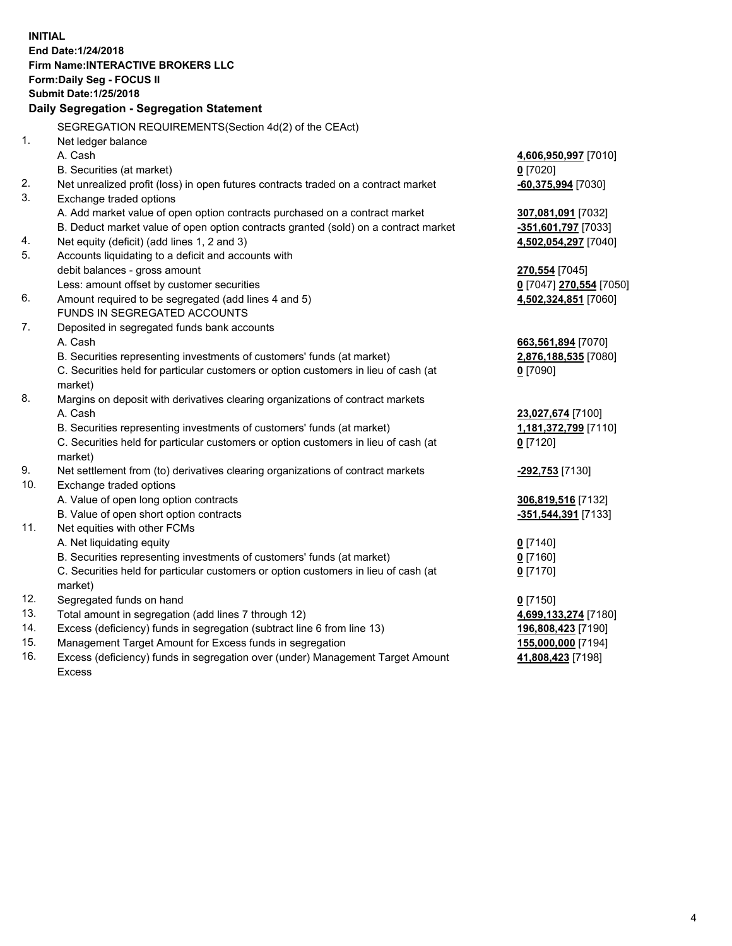**INITIAL End Date:1/24/2018 Firm Name:INTERACTIVE BROKERS LLC Form:Daily Seg - FOCUS II Submit Date:1/25/2018 Daily Segregation - Segregation Statement** SEGREGATION REQUIREMENTS(Section 4d(2) of the CEAct) 1. Net ledger balance A. Cash **4,606,950,997** [7010] B. Securities (at market) **0** [7020] 2. Net unrealized profit (loss) in open futures contracts traded on a contract market **-60,375,994** [7030] 3. Exchange traded options A. Add market value of open option contracts purchased on a contract market **307,081,091** [7032] B. Deduct market value of open option contracts granted (sold) on a contract market **-351,601,797** [7033] 4. Net equity (deficit) (add lines 1, 2 and 3) **4,502,054,297** [7040] 5. Accounts liquidating to a deficit and accounts with debit balances - gross amount **270,554** [7045] Less: amount offset by customer securities **0** [7047] **270,554** [7050] 6. Amount required to be segregated (add lines 4 and 5) **4,502,324,851** [7060] FUNDS IN SEGREGATED ACCOUNTS 7. Deposited in segregated funds bank accounts A. Cash **663,561,894** [7070] B. Securities representing investments of customers' funds (at market) **2,876,188,535** [7080] C. Securities held for particular customers or option customers in lieu of cash (at market) **0** [7090] 8. Margins on deposit with derivatives clearing organizations of contract markets A. Cash **23,027,674** [7100] B. Securities representing investments of customers' funds (at market) **1,181,372,799** [7110] C. Securities held for particular customers or option customers in lieu of cash (at market) **0** [7120] 9. Net settlement from (to) derivatives clearing organizations of contract markets **-292,753** [7130] 10. Exchange traded options A. Value of open long option contracts **306,819,516** [7132] B. Value of open short option contracts **-351,544,391** [7133] 11. Net equities with other FCMs A. Net liquidating equity **0** [7140] B. Securities representing investments of customers' funds (at market) **0** [7160] C. Securities held for particular customers or option customers in lieu of cash (at market) **0** [7170] 12. Segregated funds on hand **0** [7150] 13. Total amount in segregation (add lines 7 through 12) **4,699,133,274** [7180] 14. Excess (deficiency) funds in segregation (subtract line 6 from line 13) **196,808,423** [7190] 15. Management Target Amount for Excess funds in segregation **155,000,000** [7194]

16. Excess (deficiency) funds in segregation over (under) Management Target Amount Excess

**41,808,423** [7198]